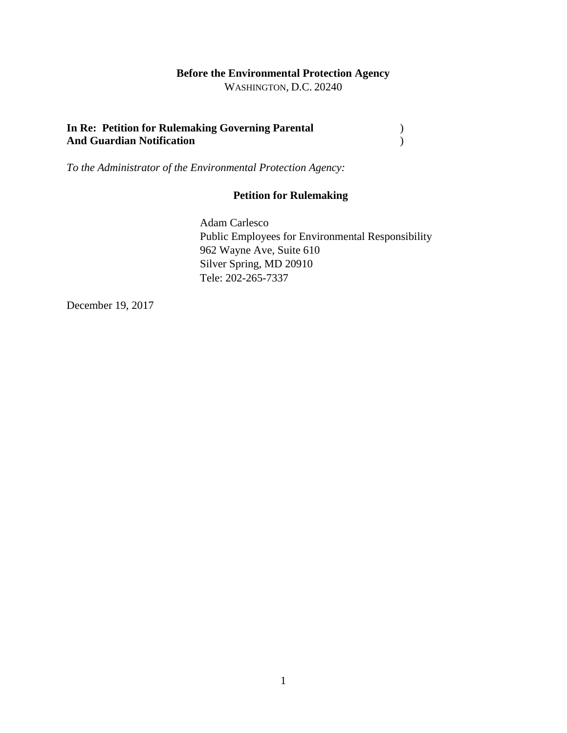## **Before the Environmental Protection Agency**

WASHINGTON, D.C. 20240

### **In Re: Petition for Rulemaking Governing Parental** ) **And Guardian Notification** )

*To the Administrator of the Environmental Protection Agency:*

## **Petition for Rulemaking**

Adam Carlesco Public Employees for Environmental Responsibility 962 Wayne Ave, Suite 610 Silver Spring, MD 20910 Tele: 202-265-7337

December 19, 2017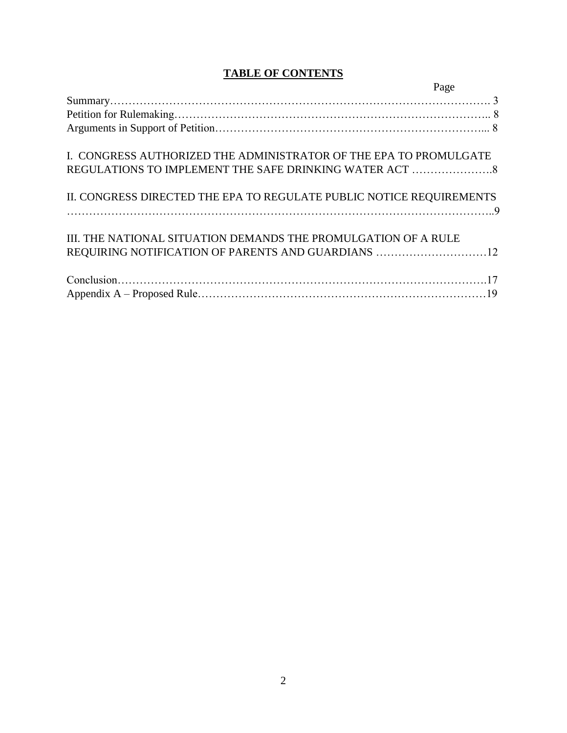# **TABLE OF CONTENTS**

|                                                                      | Page |
|----------------------------------------------------------------------|------|
|                                                                      |      |
|                                                                      |      |
|                                                                      |      |
| I. CONGRESS AUTHORIZED THE ADMINISTRATOR OF THE EPA TO PROMULGATE    |      |
|                                                                      |      |
| II. CONGRESS DIRECTED THE EPA TO REGULATE PUBLIC NOTICE REQUIREMENTS |      |
|                                                                      |      |
| III. THE NATIONAL SITUATION DEMANDS THE PROMULGATION OF A RULE       |      |
| REQUIRING NOTIFICATION OF PARENTS AND GUARDIANS 12                   |      |
|                                                                      |      |
|                                                                      |      |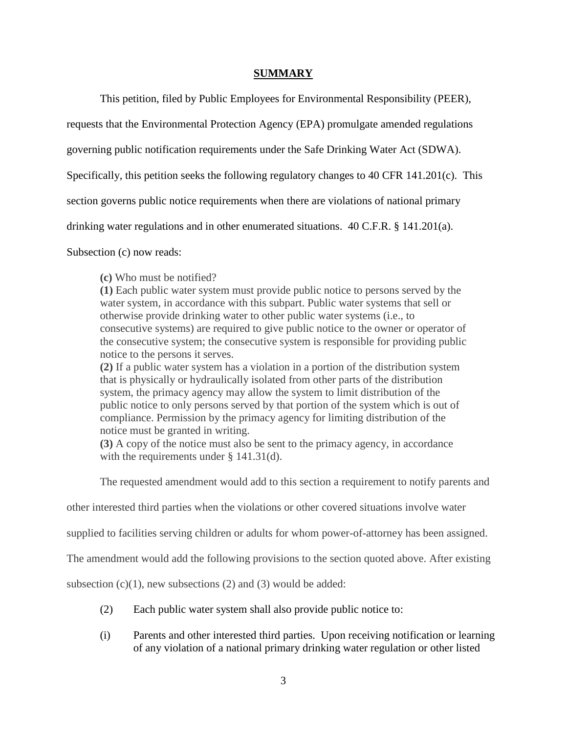#### **SUMMARY**

This petition, filed by Public Employees for Environmental Responsibility (PEER),

requests that the Environmental Protection Agency (EPA) promulgate amended regulations

governing public notification requirements under the Safe Drinking Water Act (SDWA).

Specifically, this petition seeks the following regulatory changes to 40 CFR 141.201(c). This

section governs public notice requirements when there are violations of national primary

drinking water regulations and in other enumerated situations. 40 C.F.R. § 141.201(a).

Subsection (c) now reads:

**(c)** Who must be notified?

**(1)** Each public water system must provide public notice to persons served by the water system, in accordance with this subpart. Public water systems that sell or otherwise provide drinking water to other public water systems (i.e., to consecutive systems) are required to give public notice to the owner or operator of the consecutive system; the consecutive system is responsible for providing public notice to the persons it serves.

**(2)** If a public water system has a violation in a portion of the distribution system that is physically or hydraulically isolated from other parts of the distribution system, the primacy agency may allow the system to limit distribution of the public notice to only persons served by that portion of the system which is out of compliance. Permission by the primacy agency for limiting distribution of the notice must be granted in writing.

**(3)** A copy of the notice must also be sent to the primacy agency, in accordance with the requirements under § 141.31(d).

The requested amendment would add to this section a requirement to notify parents and

other interested third parties when the violations or other covered situations involve water

supplied to facilities serving children or adults for whom power-of-attorney has been assigned.

The amendment would add the following provisions to the section quoted above. After existing

subsection  $(c)(1)$ , new subsections  $(2)$  and  $(3)$  would be added:

- (2) Each public water system shall also provide public notice to:
- (i) Parents and other interested third parties. Upon receiving notification or learning of any violation of a national primary drinking water regulation or other listed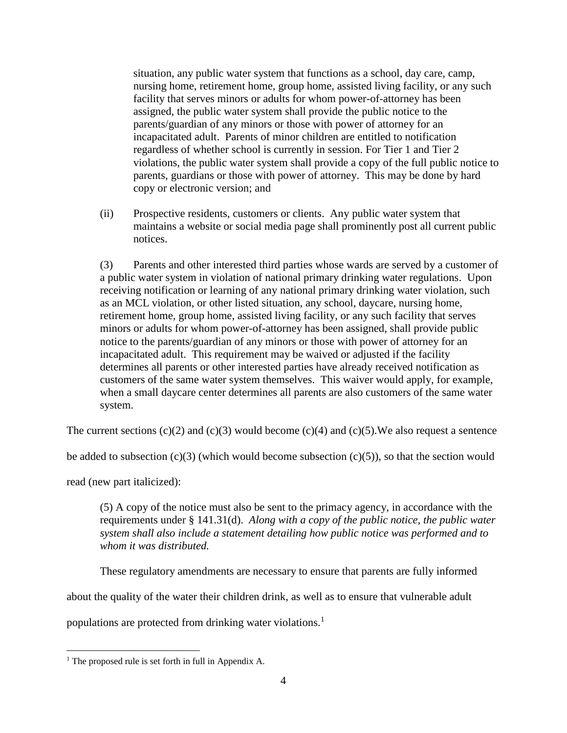situation, any public water system that functions as a school, day care, camp, nursing home, retirement home, group home, assisted living facility, or any such facility that serves minors or adults for whom power-of-attorney has been assigned, the public water system shall provide the public notice to the parents/guardian of any minors or those with power of attorney for an incapacitated adult. Parents of minor children are entitled to notification regardless of whether school is currently in session. For Tier 1 and Tier 2 violations, the public water system shall provide a copy of the full public notice to parents, guardians or those with power of attorney. This may be done by hard copy or electronic version; and

(ii) Prospective residents, customers or clients. Any public water system that maintains a website or social media page shall prominently post all current public notices.

(3) Parents and other interested third parties whose wards are served by a customer of a public water system in violation of national primary drinking water regulations. Upon receiving notification or learning of any national primary drinking water violation, such as an MCL violation, or other listed situation, any school, daycare, nursing home, retirement home, group home, assisted living facility, or any such facility that serves minors or adults for whom power-of-attorney has been assigned, shall provide public notice to the parents/guardian of any minors or those with power of attorney for an incapacitated adult. This requirement may be waived or adjusted if the facility determines all parents or other interested parties have already received notification as customers of the same water system themselves. This waiver would apply, for example, when a small daycare center determines all parents are also customers of the same water system.

The current sections  $(c)(2)$  and  $(c)(3)$  would become  $(c)(4)$  and  $(c)(5)$ . We also request a sentence

be added to subsection  $(c)(3)$  (which would become subsection  $(c)(5)$ ), so that the section would

read (new part italicized):

 $\overline{a}$ 

(5) A copy of the notice must also be sent to the primacy agency, in accordance with the requirements under § 141.31(d). *Along with a copy of the public notice, the public water system shall also include a statement detailing how public notice was performed and to whom it was distributed.*

These regulatory amendments are necessary to ensure that parents are fully informed

about the quality of the water their children drink, as well as to ensure that vulnerable adult

populations are protected from drinking water violations.<sup>1</sup>

<sup>&</sup>lt;sup>1</sup> The proposed rule is set forth in full in Appendix A.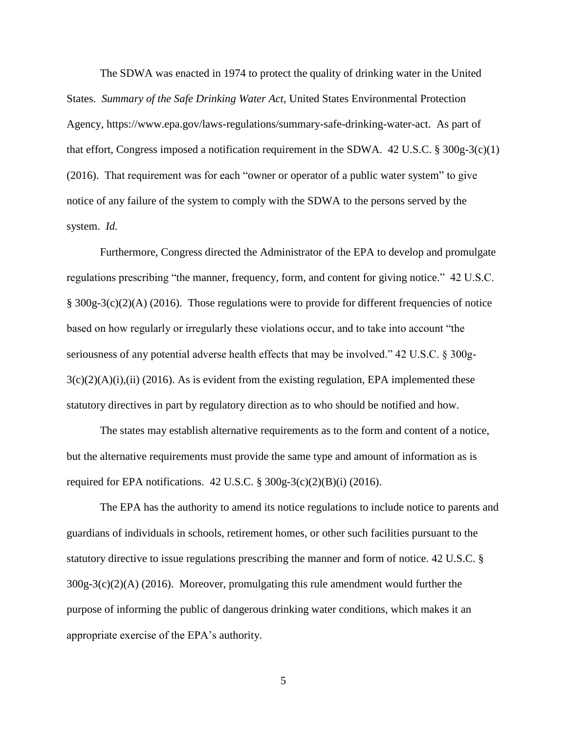The SDWA was enacted in 1974 to protect the quality of drinking water in the United States. *Summary of the Safe Drinking Water Act*, United States Environmental Protection Agency, https://www.epa.gov/laws-regulations/summary-safe-drinking-water-act. As part of that effort, Congress imposed a notification requirement in the SDWA. 42 U.S.C. § 300g-3(c)(1) (2016). That requirement was for each "owner or operator of a public water system" to give notice of any failure of the system to comply with the SDWA to the persons served by the system. *Id.*

Furthermore, Congress directed the Administrator of the EPA to develop and promulgate regulations prescribing "the manner, frequency, form, and content for giving notice." 42 U.S.C. § 300g-3(c)(2)(A) (2016). Those regulations were to provide for different frequencies of notice based on how regularly or irregularly these violations occur, and to take into account "the seriousness of any potential adverse health effects that may be involved." 42 U.S.C. § 300g- $3(c)(2)(A)(i)$ ,(ii) (2016). As is evident from the existing regulation, EPA implemented these statutory directives in part by regulatory direction as to who should be notified and how.

The states may establish alternative requirements as to the form and content of a notice, but the alternative requirements must provide the same type and amount of information as is required for EPA notifications.  $42 \text{ U.S.C.}$  §  $300g-3(c)(2)(B)(i)$  (2016).

The EPA has the authority to amend its notice regulations to include notice to parents and guardians of individuals in schools, retirement homes, or other such facilities pursuant to the statutory directive to issue regulations prescribing the manner and form of notice. 42 U.S.C. § 300g-3(c)(2)(A) (2016). Moreover, promulgating this rule amendment would further the purpose of informing the public of dangerous drinking water conditions, which makes it an appropriate exercise of the EPA's authority.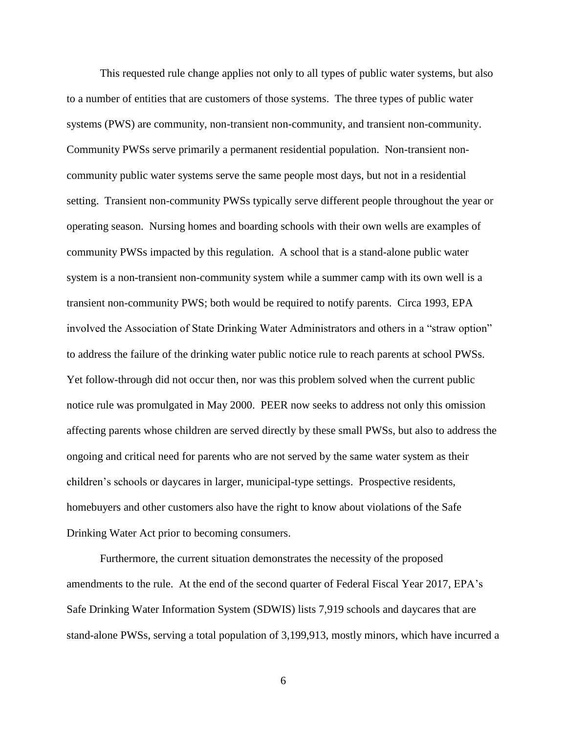This requested rule change applies not only to all types of public water systems, but also to a number of entities that are customers of those systems. The three types of public water systems (PWS) are community, non-transient non-community, and transient non-community. Community PWSs serve primarily a permanent residential population. Non-transient noncommunity public water systems serve the same people most days, but not in a residential setting. Transient non-community PWSs typically serve different people throughout the year or operating season. Nursing homes and boarding schools with their own wells are examples of community PWSs impacted by this regulation. A school that is a stand-alone public water system is a non-transient non-community system while a summer camp with its own well is a transient non-community PWS; both would be required to notify parents. Circa 1993, EPA involved the Association of State Drinking Water Administrators and others in a "straw option" to address the failure of the drinking water public notice rule to reach parents at school PWSs. Yet follow-through did not occur then, nor was this problem solved when the current public notice rule was promulgated in May 2000. PEER now seeks to address not only this omission affecting parents whose children are served directly by these small PWSs, but also to address the ongoing and critical need for parents who are not served by the same water system as their children's schools or daycares in larger, municipal-type settings. Prospective residents, homebuyers and other customers also have the right to know about violations of the Safe Drinking Water Act prior to becoming consumers.

Furthermore, the current situation demonstrates the necessity of the proposed amendments to the rule. At the end of the second quarter of Federal Fiscal Year 2017, EPA's Safe Drinking Water Information System (SDWIS) lists 7,919 schools and daycares that are stand-alone PWSs, serving a total population of 3,199,913, mostly minors, which have incurred a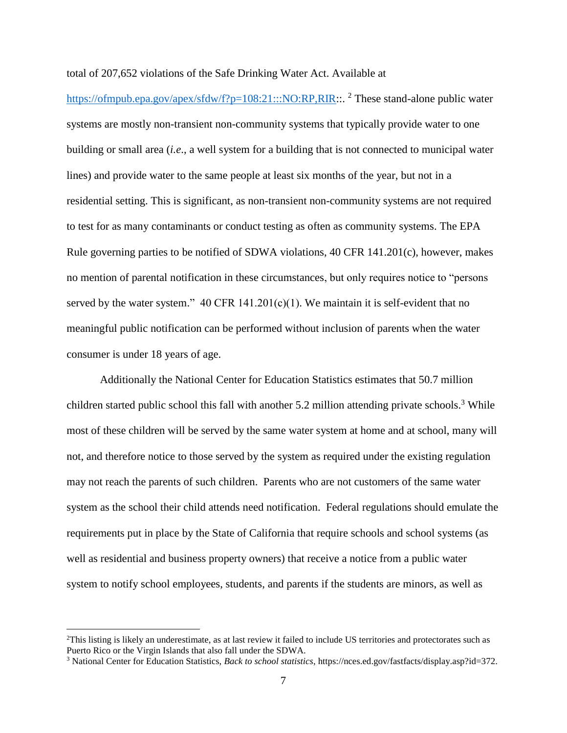total of 207,652 violations of the Safe Drinking Water Act. Available at

[https://ofmpub.epa.gov/apex/sfdw/f?p=108:21:::NO:RP,RIR:](https://ofmpub.epa.gov/apex/sfdw/f?p=108:21:::NO:RP,RIR):. <sup>2</sup> These stand-alone public water systems are mostly non-transient non-community systems that typically provide water to one building or small area (*i.e*., a well system for a building that is not connected to municipal water lines) and provide water to the same people at least six months of the year, but not in a residential setting. This is significant, as non-transient non-community systems are not required to test for as many contaminants or conduct testing as often as community systems. The EPA Rule governing parties to be notified of SDWA violations, 40 CFR 141.201(c), however, makes no mention of parental notification in these circumstances, but only requires notice to "persons served by the water system."  $40 \text{ CFR } 141.201(c)(1)$ . We maintain it is self-evident that no meaningful public notification can be performed without inclusion of parents when the water consumer is under 18 years of age.

Additionally the National Center for Education Statistics estimates that 50.7 million children started public school this fall with another 5.2 million attending private schools.<sup>3</sup> While most of these children will be served by the same water system at home and at school, many will not, and therefore notice to those served by the system as required under the existing regulation may not reach the parents of such children. Parents who are not customers of the same water system as the school their child attends need notification. Federal regulations should emulate the requirements put in place by the State of California that require schools and school systems (as well as residential and business property owners) that receive a notice from a public water system to notify school employees, students, and parents if the students are minors, as well as

 $\overline{a}$ 

<sup>2</sup>This listing is likely an underestimate, as at last review it failed to include US territories and protectorates such as Puerto Rico or the Virgin Islands that also fall under the SDWA.

<sup>3</sup> National Center for Education Statistics, *Back to school statistics*, https://nces.ed.gov/fastfacts/display.asp?id=372.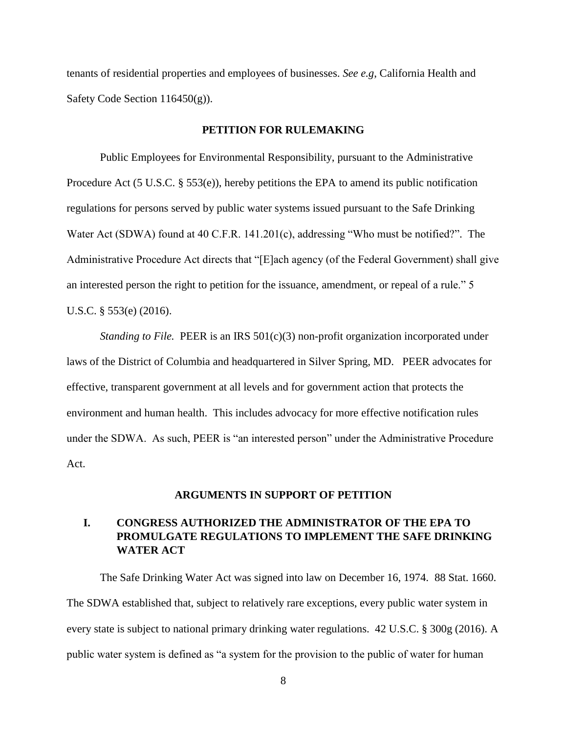tenants of residential properties and employees of businesses. *See e.g*, California Health and Safety Code Section 116450(g)).

#### **PETITION FOR RULEMAKING**

Public Employees for Environmental Responsibility, pursuant to the Administrative Procedure Act (5 U.S.C. § 553(e)), hereby petitions the EPA to amend its public notification regulations for persons served by public water systems issued pursuant to the Safe Drinking Water Act (SDWA) found at 40 C.F.R. 141.201(c), addressing "Who must be notified?". The Administrative Procedure Act directs that "[E]ach agency (of the Federal Government) shall give an interested person the right to petition for the issuance, amendment, or repeal of a rule." 5 U.S.C. § 553(e) (2016).

*Standing to File.* PEER is an IRS 501(c)(3) non-profit organization incorporated under laws of the District of Columbia and headquartered in Silver Spring, MD. PEER advocates for effective, transparent government at all levels and for government action that protects the environment and human health. This includes advocacy for more effective notification rules under the SDWA. As such, PEER is "an interested person" under the Administrative Procedure Act.

#### **ARGUMENTS IN SUPPORT OF PETITION**

## **I. CONGRESS AUTHORIZED THE ADMINISTRATOR OF THE EPA TO PROMULGATE REGULATIONS TO IMPLEMENT THE SAFE DRINKING WATER ACT**

The Safe Drinking Water Act was signed into law on December 16, 1974. 88 Stat. 1660. The SDWA established that, subject to relatively rare exceptions, every public water system in every state is subject to national primary drinking water regulations. 42 U.S.C. § 300g (2016). A public water system is defined as "a system for the provision to the public of water for human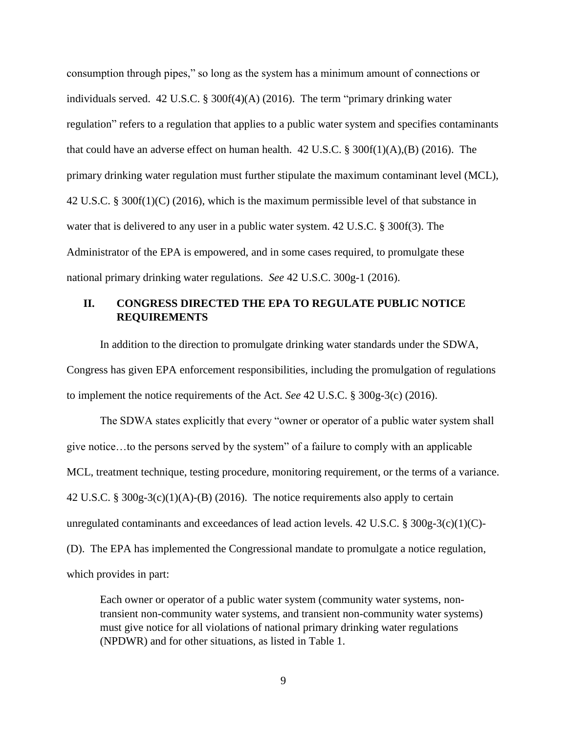consumption through pipes," so long as the system has a minimum amount of connections or individuals served. 42 U.S.C. § 300f(4)(A) (2016). The term "primary drinking water regulation" refers to a regulation that applies to a public water system and specifies contaminants that could have an adverse effect on human health. 42 U.S.C. § 300f(1)(A),(B) (2016). The primary drinking water regulation must further stipulate the maximum contaminant level (MCL), 42 U.S.C. § 300f(1)(C) (2016), which is the maximum permissible level of that substance in water that is delivered to any user in a public water system. 42 U.S.C. § 300f(3). The Administrator of the EPA is empowered, and in some cases required, to promulgate these national primary drinking water regulations. *See* 42 U.S.C. 300g-1 (2016).

## **II. CONGRESS DIRECTED THE EPA TO REGULATE PUBLIC NOTICE REQUIREMENTS**

In addition to the direction to promulgate drinking water standards under the SDWA, Congress has given EPA enforcement responsibilities, including the promulgation of regulations to implement the notice requirements of the Act. *See* 42 U.S.C. § 300g-3(c) (2016).

The SDWA states explicitly that every "owner or operator of a public water system shall give notice…to the persons served by the system" of a failure to comply with an applicable MCL, treatment technique, testing procedure, monitoring requirement, or the terms of a variance. 42 U.S.C. § 300g-3(c)(1)(A)-(B) (2016). The notice requirements also apply to certain unregulated contaminants and exceedances of lead action levels. 42 U.S.C. § 300g-3(c)(1)(C)-(D). The EPA has implemented the Congressional mandate to promulgate a notice regulation, which provides in part:

Each owner or operator of a public water system (community water systems, nontransient non-community water systems, and transient non-community water systems) must give notice for all violations of national primary drinking water regulations (NPDWR) and for other situations, as listed in Table 1.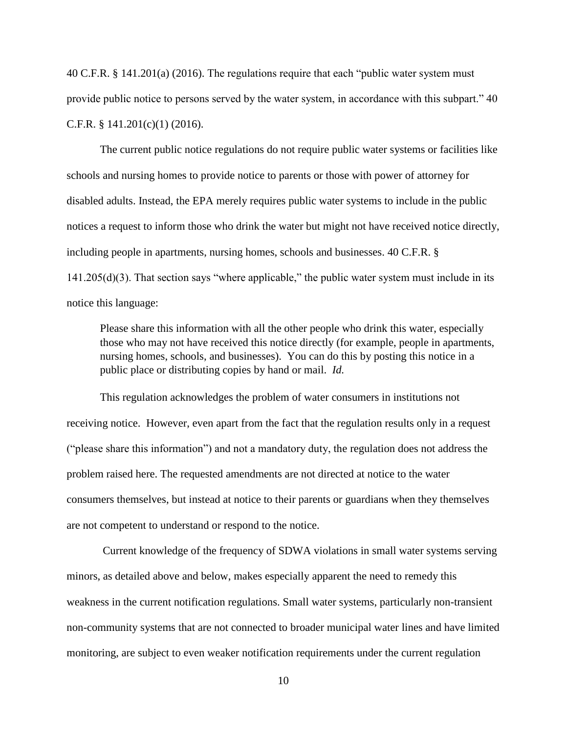40 C.F.R. § 141.201(a) (2016). The regulations require that each "public water system must provide public notice to persons served by the water system, in accordance with this subpart." 40 C.F.R. § 141.201(c)(1) (2016).

The current public notice regulations do not require public water systems or facilities like schools and nursing homes to provide notice to parents or those with power of attorney for disabled adults. Instead, the EPA merely requires public water systems to include in the public notices a request to inform those who drink the water but might not have received notice directly, including people in apartments, nursing homes, schools and businesses. 40 C.F.R. § 141.205(d)(3). That section says "where applicable," the public water system must include in its notice this language:

Please share this information with all the other people who drink this water, especially those who may not have received this notice directly (for example, people in apartments, nursing homes, schools, and businesses). You can do this by posting this notice in a public place or distributing copies by hand or mail. *Id.*

This regulation acknowledges the problem of water consumers in institutions not receiving notice. However, even apart from the fact that the regulation results only in a request ("please share this information") and not a mandatory duty, the regulation does not address the problem raised here. The requested amendments are not directed at notice to the water consumers themselves, but instead at notice to their parents or guardians when they themselves are not competent to understand or respond to the notice.

Current knowledge of the frequency of SDWA violations in small water systems serving minors, as detailed above and below, makes especially apparent the need to remedy this weakness in the current notification regulations. Small water systems, particularly non-transient non-community systems that are not connected to broader municipal water lines and have limited monitoring, are subject to even weaker notification requirements under the current regulation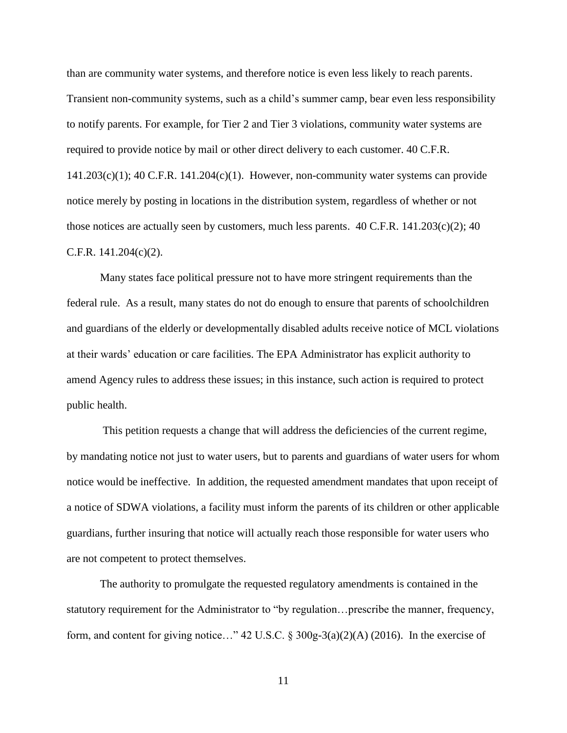than are community water systems, and therefore notice is even less likely to reach parents. Transient non-community systems, such as a child's summer camp, bear even less responsibility to notify parents. For example, for Tier 2 and Tier 3 violations, community water systems are required to provide notice by mail or other direct delivery to each customer. 40 C.F.R.  $141.203(c)(1)$ ; 40 C.F.R.  $141.204(c)(1)$ . However, non-community water systems can provide notice merely by posting in locations in the distribution system, regardless of whether or not those notices are actually seen by customers, much less parents.  $40 \text{ C.F.R. } 141.203(c)(2); 40$ C.F.R. 141.204(c)(2).

Many states face political pressure not to have more stringent requirements than the federal rule. As a result, many states do not do enough to ensure that parents of schoolchildren and guardians of the elderly or developmentally disabled adults receive notice of MCL violations at their wards' education or care facilities. The EPA Administrator has explicit authority to amend Agency rules to address these issues; in this instance, such action is required to protect public health.

This petition requests a change that will address the deficiencies of the current regime, by mandating notice not just to water users, but to parents and guardians of water users for whom notice would be ineffective. In addition, the requested amendment mandates that upon receipt of a notice of SDWA violations, a facility must inform the parents of its children or other applicable guardians, further insuring that notice will actually reach those responsible for water users who are not competent to protect themselves.

The authority to promulgate the requested regulatory amendments is contained in the statutory requirement for the Administrator to "by regulation…prescribe the manner, frequency, form, and content for giving notice…" 42 U.S.C. § 300g-3(a)(2)(A) (2016). In the exercise of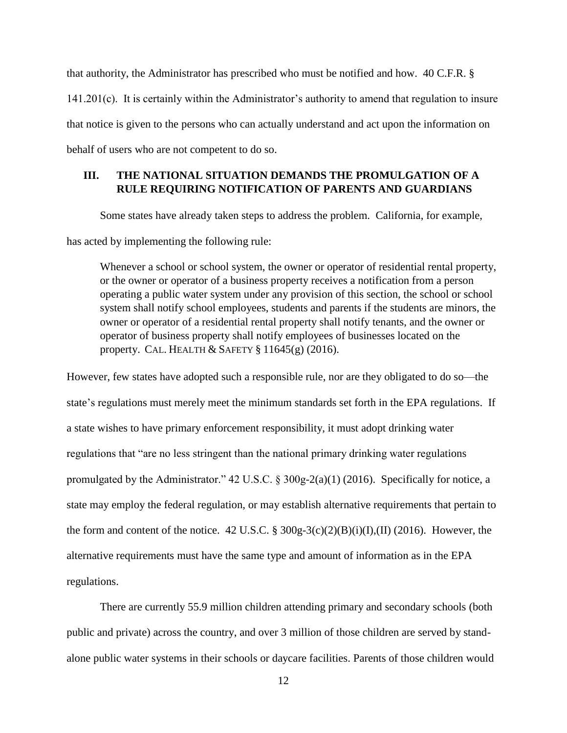that authority, the Administrator has prescribed who must be notified and how. 40 C.F.R. § 141.201(c). It is certainly within the Administrator's authority to amend that regulation to insure that notice is given to the persons who can actually understand and act upon the information on behalf of users who are not competent to do so.

## **III. THE NATIONAL SITUATION DEMANDS THE PROMULGATION OF A RULE REQUIRING NOTIFICATION OF PARENTS AND GUARDIANS**

Some states have already taken steps to address the problem. California, for example,

has acted by implementing the following rule:

Whenever a school or school system, the owner or operator of residential rental property, or the owner or operator of a business property receives a notification from a person operating a public water system under any provision of this section, the school or school system shall notify school employees, students and parents if the students are minors, the owner or operator of a residential rental property shall notify tenants, and the owner or operator of business property shall notify employees of businesses located on the property. CAL. HEALTH & SAFETY § 11645(g) (2016).

However, few states have adopted such a responsible rule, nor are they obligated to do so—the state's regulations must merely meet the minimum standards set forth in the EPA regulations. If a state wishes to have primary enforcement responsibility, it must adopt drinking water regulations that "are no less stringent than the national primary drinking water regulations promulgated by the Administrator." 42 U.S.C. § 300g-2(a)(1) (2016). Specifically for notice, a state may employ the federal regulation, or may establish alternative requirements that pertain to the form and content of the notice.  $42 \text{ U.S.C.}$  §  $300 \text{g-}3\text{(c)}(2)(\text{B)}\text{(i)}(I),$  (II) (2016). However, the alternative requirements must have the same type and amount of information as in the EPA regulations.

There are currently 55.9 million children attending primary and secondary schools (both public and private) across the country, and over 3 million of those children are served by standalone public water systems in their schools or daycare facilities. Parents of those children would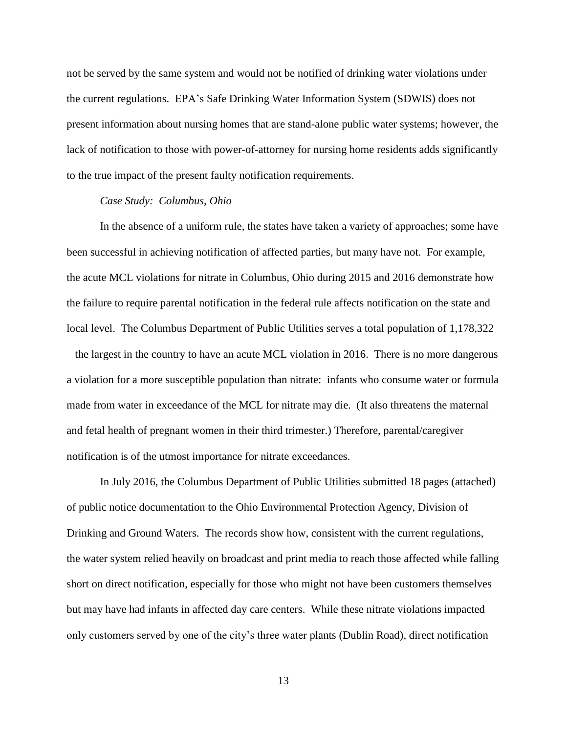not be served by the same system and would not be notified of drinking water violations under the current regulations. EPA's Safe Drinking Water Information System (SDWIS) does not present information about nursing homes that are stand-alone public water systems; however, the lack of notification to those with power-of-attorney for nursing home residents adds significantly to the true impact of the present faulty notification requirements.

#### *Case Study: Columbus, Ohio*

In the absence of a uniform rule, the states have taken a variety of approaches; some have been successful in achieving notification of affected parties, but many have not. For example, the acute MCL violations for nitrate in Columbus, Ohio during 2015 and 2016 demonstrate how the failure to require parental notification in the federal rule affects notification on the state and local level. The Columbus Department of Public Utilities serves a total population of 1,178,322 – the largest in the country to have an acute MCL violation in 2016. There is no more dangerous a violation for a more susceptible population than nitrate: infants who consume water or formula made from water in exceedance of the MCL for nitrate may die. (It also threatens the maternal and fetal health of pregnant women in their third trimester.) Therefore, parental/caregiver notification is of the utmost importance for nitrate exceedances.

In July 2016, the Columbus Department of Public Utilities submitted 18 pages (attached) of public notice documentation to the Ohio Environmental Protection Agency, Division of Drinking and Ground Waters. The records show how, consistent with the current regulations, the water system relied heavily on broadcast and print media to reach those affected while falling short on direct notification, especially for those who might not have been customers themselves but may have had infants in affected day care centers. While these nitrate violations impacted only customers served by one of the city's three water plants (Dublin Road), direct notification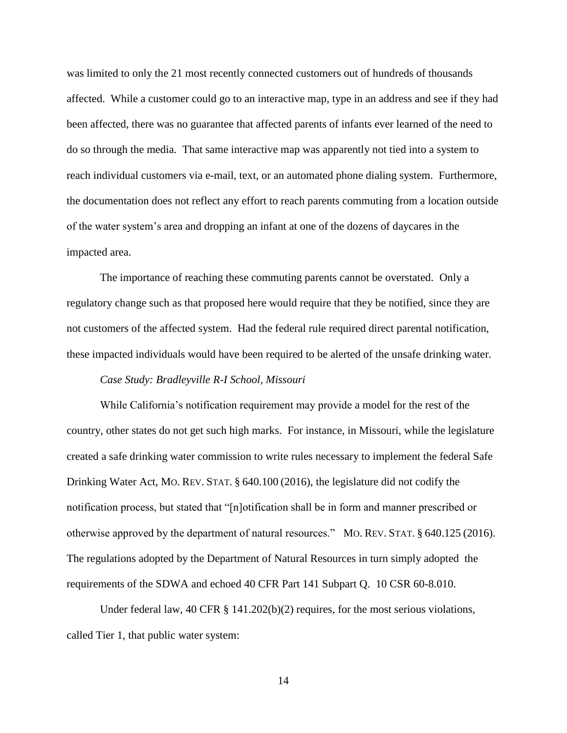was limited to only the 21 most recently connected customers out of hundreds of thousands affected. While a customer could go to an interactive map, type in an address and see if they had been affected, there was no guarantee that affected parents of infants ever learned of the need to do so through the media. That same interactive map was apparently not tied into a system to reach individual customers via e-mail, text, or an automated phone dialing system. Furthermore, the documentation does not reflect any effort to reach parents commuting from a location outside of the water system's area and dropping an infant at one of the dozens of daycares in the impacted area.

The importance of reaching these commuting parents cannot be overstated. Only a regulatory change such as that proposed here would require that they be notified, since they are not customers of the affected system. Had the federal rule required direct parental notification, these impacted individuals would have been required to be alerted of the unsafe drinking water.

#### *Case Study: Bradleyville R-I School, Missouri*

While California's notification requirement may provide a model for the rest of the country, other states do not get such high marks. For instance, in Missouri, while the legislature created a safe drinking water commission to write rules necessary to implement the federal Safe Drinking Water Act, MO. REV. STAT. § 640.100 (2016), the legislature did not codify the notification process, but stated that "[n]otification shall be in form and manner prescribed or otherwise approved by the department of natural resources." MO. REV. STAT. § 640.125 (2016). The regulations adopted by the Department of Natural Resources in turn simply adopted the requirements of the SDWA and echoed 40 CFR Part 141 Subpart Q. 10 CSR 60-8.010.

Under federal law, 40 CFR  $\S$  141.202(b)(2) requires, for the most serious violations, called Tier 1, that public water system: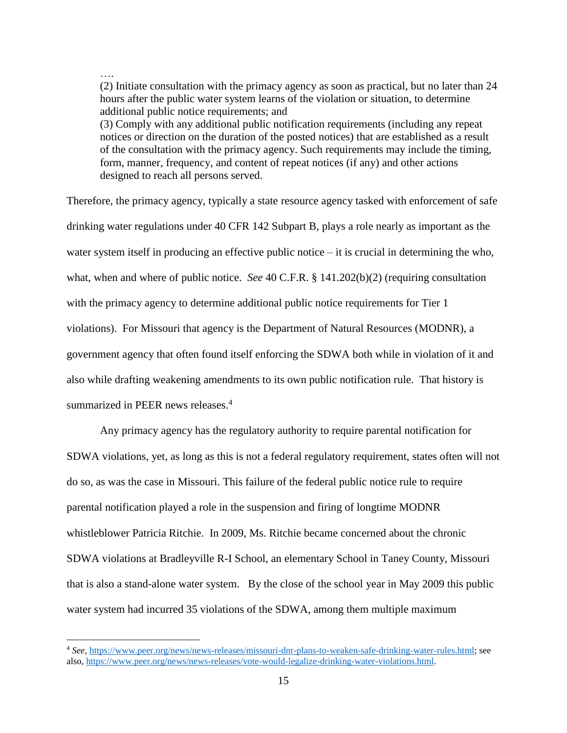# ….

 $\overline{a}$ 

(2) Initiate consultation with the primacy agency as soon as practical, but no later than 24 hours after the public water system learns of the violation or situation, to determine additional public notice requirements; and (3) Comply with any additional public notification requirements (including any repeat notices or direction on the duration of the posted notices) that are established as a result of the consultation with the primacy agency. Such requirements may include the timing, form, manner, frequency, and content of repeat notices (if any) and other actions designed to reach all persons served.

Therefore, the primacy agency, typically a state resource agency tasked with enforcement of safe drinking water regulations under 40 CFR 142 Subpart B, plays a role nearly as important as the water system itself in producing an effective public notice – it is crucial in determining the who, what, when and where of public notice. *See* 40 C.F.R. § 141.202(b)(2) (requiring consultation with the primacy agency to determine additional public notice requirements for Tier 1 violations). For Missouri that agency is the Department of Natural Resources (MODNR), a government agency that often found itself enforcing the SDWA both while in violation of it and also while drafting weakening amendments to its own public notification rule. That history is summarized in PEER news releases.<sup>4</sup>

Any primacy agency has the regulatory authority to require parental notification for SDWA violations, yet, as long as this is not a federal regulatory requirement, states often will not do so, as was the case in Missouri. This failure of the federal public notice rule to require parental notification played a role in the suspension and firing of longtime MODNR whistleblower Patricia Ritchie. In 2009, Ms. Ritchie became concerned about the chronic SDWA violations at Bradleyville R-I School, an elementary School in Taney County, Missouri that is also a stand-alone water system. By the close of the school year in May 2009 this public water system had incurred 35 violations of the SDWA, among them multiple maximum

<sup>4</sup> *See*[, https://www.peer.org/news/news-releases/missouri-dnr-plans-to-weaken-safe-drinking-water-rules.html;](https://www.peer.org/news/news-releases/missouri-dnr-plans-to-weaken-safe-drinking-water-rules.html) see also, [https://www.peer.org/news/news-releases/vote-would-legalize-drinking-water-violations.html.](https://www.peer.org/news/news-releases/vote-would-legalize-drinking-water-violations.html)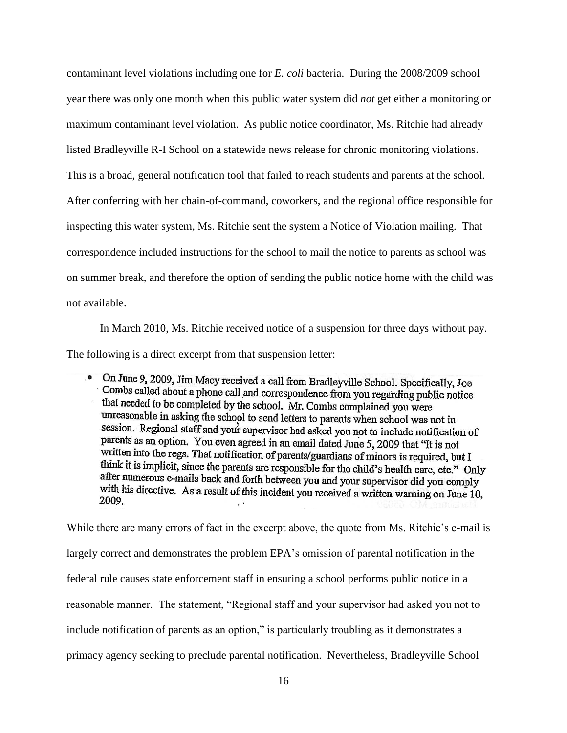contaminant level violations including one for *E. coli* bacteria. During the 2008/2009 school year there was only one month when this public water system did *not* get either a monitoring or maximum contaminant level violation. As public notice coordinator, Ms. Ritchie had already listed Bradleyville R-I School on a statewide news release for chronic monitoring violations. This is a broad, general notification tool that failed to reach students and parents at the school. After conferring with her chain-of-command, coworkers, and the regional office responsible for inspecting this water system, Ms. Ritchie sent the system a Notice of Violation mailing. That correspondence included instructions for the school to mail the notice to parents as school was on summer break, and therefore the option of sending the public notice home with the child was not available.

In March 2010, Ms. Ritchie received notice of a suspension for three days without pay. The following is a direct excerpt from that suspension letter:

. On June 9, 2009, Jim Macy received a call from Bradleyville School. Specifically, Joe Combs called about a phone call and correspondence from you regarding public notice that needed to be completed by the school. Mr. Combs complained you were unreasonable in asking the school to send letters to parents when school was not in session. Regional staff and your supervisor had asked you not to include notification of parents as an option. You even agreed in an email dated June 5, 2009 that "It is not written into the regs. That notification of parents/guardians of minors is required, but I think it is implicit, since the parents are responsible for the child's health care, etc." Only after numerous e-mails back and forth between you and your supervisor did you comply with his directive. As a result of this incident you received a written warning on June 10, 2009.

While there are many errors of fact in the excerpt above, the quote from Ms. Ritchie's e-mail is largely correct and demonstrates the problem EPA's omission of parental notification in the federal rule causes state enforcement staff in ensuring a school performs public notice in a reasonable manner. The statement, "Regional staff and your supervisor had asked you not to include notification of parents as an option," is particularly troubling as it demonstrates a primacy agency seeking to preclude parental notification. Nevertheless, Bradleyville School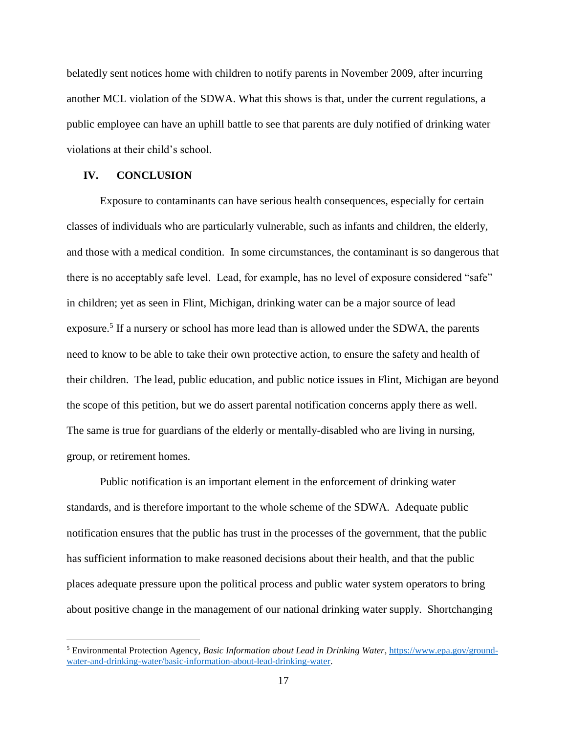belatedly sent notices home with children to notify parents in November 2009, after incurring another MCL violation of the SDWA. What this shows is that, under the current regulations, a public employee can have an uphill battle to see that parents are duly notified of drinking water violations at their child's school.

### **IV. CONCLUSION**

 $\overline{a}$ 

Exposure to contaminants can have serious health consequences, especially for certain classes of individuals who are particularly vulnerable, such as infants and children, the elderly, and those with a medical condition. In some circumstances, the contaminant is so dangerous that there is no acceptably safe level. Lead, for example, has no level of exposure considered "safe" in children; yet as seen in Flint, Michigan, drinking water can be a major source of lead exposure.<sup>5</sup> If a nursery or school has more lead than is allowed under the SDWA, the parents need to know to be able to take their own protective action, to ensure the safety and health of their children. The lead, public education, and public notice issues in Flint, Michigan are beyond the scope of this petition, but we do assert parental notification concerns apply there as well. The same is true for guardians of the elderly or mentally-disabled who are living in nursing, group, or retirement homes.

Public notification is an important element in the enforcement of drinking water standards, and is therefore important to the whole scheme of the SDWA. Adequate public notification ensures that the public has trust in the processes of the government, that the public has sufficient information to make reasoned decisions about their health, and that the public places adequate pressure upon the political process and public water system operators to bring about positive change in the management of our national drinking water supply. Shortchanging

<sup>5</sup> Environmental Protection Agency, *Basic Information about Lead in Drinking Water*, [https://www.epa.gov/ground](https://www.epa.gov/ground-water-and-drinking-water/basic-information-about-lead-drinking-water)[water-and-drinking-water/basic-information-about-lead-drinking-water.](https://www.epa.gov/ground-water-and-drinking-water/basic-information-about-lead-drinking-water)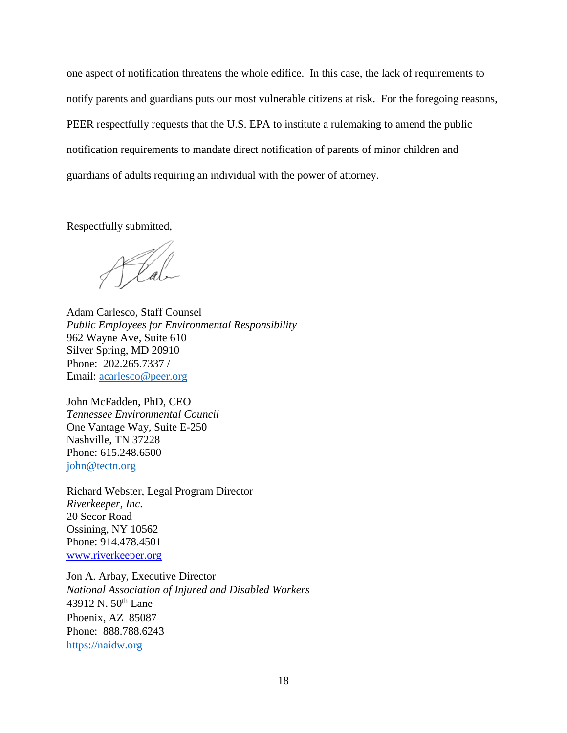one aspect of notification threatens the whole edifice. In this case, the lack of requirements to notify parents and guardians puts our most vulnerable citizens at risk. For the foregoing reasons, PEER respectfully requests that the U.S. EPA to institute a rulemaking to amend the public notification requirements to mandate direct notification of parents of minor children and guardians of adults requiring an individual with the power of attorney.

Respectfully submitted,

Plat

Adam Carlesco, Staff Counsel *Public Employees for Environmental Responsibility* 962 Wayne Ave, Suite 610 Silver Spring, MD 20910 Phone: 202.265.7337 / Email: [acarlesco@peer.org](mailto:acarlesco@peer.org)

John McFadden, PhD, CEO *Tennessee Environmental Council* One Vantage Way, Suite E-250 Nashville, TN 37228 Phone: 615.248.6500 john@tectn.org

Richard Webster, Legal Program Director *Riverkeeper, Inc*. 20 Secor Road Ossining, NY 10562 Phone: 914.478.4501 [www.riverkeeper.org](http://www.riverkeeper.org/)

Jon A. Arbay, Executive Director *National Association of Injured and Disabled Workers* 43912 N. 50<sup>th</sup> Lane Phoenix, AZ 85087 Phone: 888.788.6243 [https://naidw.org](https://naidw.org/)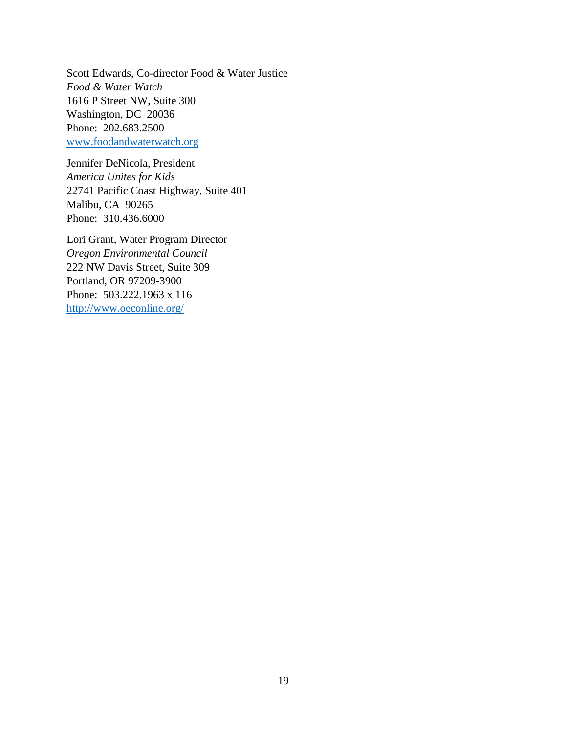Scott Edwards, Co-director Food & Water Justice *Food & Water Watch* 1616 P Street NW, Suite 300 Washington, DC 20036 Phone: 202.683.2500 [www.foodandwaterwatch.org](http://www.foodandwaterwatch.org/)

Jennifer DeNicola, President *America Unites for Kids* 22741 Pacific Coast Highway, Suite 401 Malibu, CA 90265 Phone: 310.436.6000

Lori Grant, Water Program Director *Oregon Environmental Council* 222 NW Davis Street, Suite 309 Portland, OR 97209-3900 Phone: 503.222.1963 x 116 <http://www.oeconline.org/>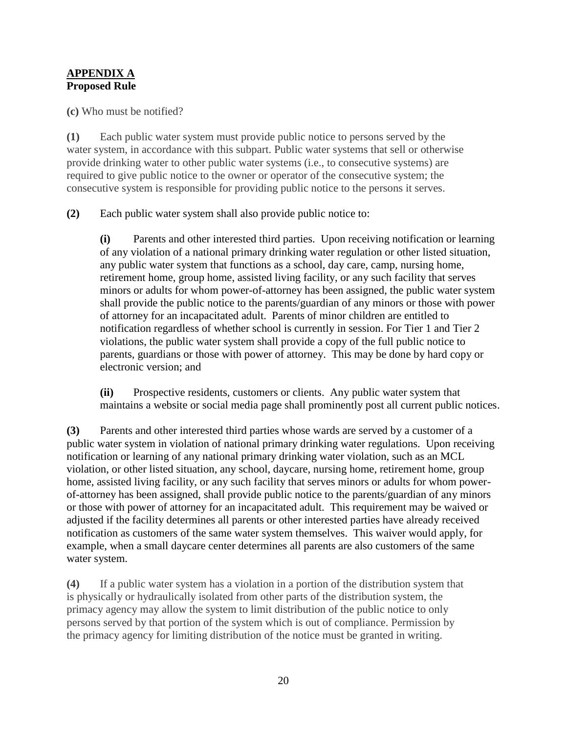## **APPENDIX A Proposed Rule**

**(c)** Who must be notified?

**(1)** Each public water system must provide public notice to persons served by the water system, in accordance with this subpart. Public water systems that sell or otherwise provide drinking water to other public water systems (i.e., to consecutive systems) are required to give public notice to the owner or operator of the consecutive system; the consecutive system is responsible for providing public notice to the persons it serves.

**(2)** Each public water system shall also provide public notice to:

**(i)** Parents and other interested third parties. Upon receiving notification or learning of any violation of a national primary drinking water regulation or other listed situation, any public water system that functions as a school, day care, camp, nursing home, retirement home, group home, assisted living facility, or any such facility that serves minors or adults for whom power-of-attorney has been assigned, the public water system shall provide the public notice to the parents/guardian of any minors or those with power of attorney for an incapacitated adult. Parents of minor children are entitled to notification regardless of whether school is currently in session. For Tier 1 and Tier 2 violations, the public water system shall provide a copy of the full public notice to parents, guardians or those with power of attorney. This may be done by hard copy or electronic version; and

**(ii)** Prospective residents, customers or clients. Any public water system that maintains a website or social media page shall prominently post all current public notices.

**(3)** Parents and other interested third parties whose wards are served by a customer of a public water system in violation of national primary drinking water regulations. Upon receiving notification or learning of any national primary drinking water violation, such as an MCL violation, or other listed situation, any school, daycare, nursing home, retirement home, group home, assisted living facility, or any such facility that serves minors or adults for whom powerof-attorney has been assigned, shall provide public notice to the parents/guardian of any minors or those with power of attorney for an incapacitated adult. This requirement may be waived or adjusted if the facility determines all parents or other interested parties have already received notification as customers of the same water system themselves. This waiver would apply, for example, when a small daycare center determines all parents are also customers of the same water system.

**(4)** If a public water system has a violation in a portion of the distribution system that is physically or hydraulically isolated from other parts of the distribution system, the primacy agency may allow the system to limit distribution of the public notice to only persons served by that portion of the system which is out of compliance. Permission by the primacy agency for limiting distribution of the notice must be granted in writing.